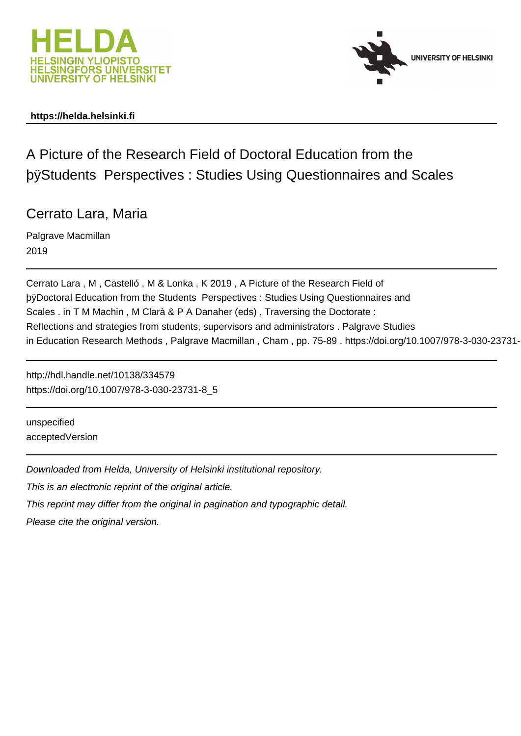



# **https://helda.helsinki.fi**

# A Picture of the Research Field of Doctoral Education from the þÿStudents Perspectives : Studies Using Question

# Cerrato Lara, Maria

Palgrave Macmillan 2019

Cerrato Lara , M , Castelló , M & Lonka , K 2019 , A Picture of the Research Field of by Doctoral Education from the Students Perspectives : Studies Using Question Scales . in T M Machin , M Clarà & P A Danaher (eds) , Traversing the Doctorate : Reflections and strategies from students, supervisors and administrators . Palgrave Studies in Education Research Methods, Palgrave Macmillan, Cham, pp. 75-89. https://doi.org/10.1007/978-3-030-23731-

http://hdl.handle.net/10138/334579 https://doi.org/10.1007/978-3-030-23731-8\_5

unspecified acceptedVersion

Downloaded from Helda, University of Helsinki institutional repository.

This is an electronic reprint of the original article.

This reprint may differ from the original in pagination and typographic detail.

Please cite the original version.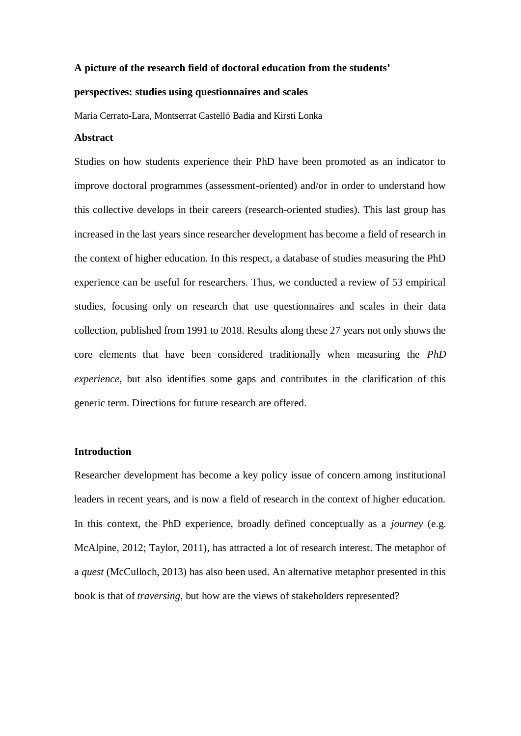#### **A picture of the research field of doctoral education from the students'**

# **perspectives: studies using questionnaires and scales**

Maria Cerrato-Lara, Montserrat Castelló Badia and Kirsti Lonka

#### **Abstract**

Studies on how students experience their PhD have been promoted as an indicator to improve doctoral programmes (assessment-oriented) and/or in order to understand how this collective develops in their careers (research-oriented studies). This last group has increased in the last years since researcher development has become a field of research in the context of higher education. In this respect, a database of studies measuring the PhD experience can be useful for researchers. Thus, we conducted a review of 53 empirical studies, focusing only on research that use questionnaires and scales in their data collection, published from 1991 to 2018. Results along these 27 years not only shows the core elements that have been considered traditionally when measuring the *PhD experience*, but also identifies some gaps and contributes in the clarification of this generic term. Directions for future research are offered.

#### **Introduction**

Researcher development has become a key policy issue of concern among institutional leaders in recent years, and is now a field of research in the context of higher education. In this context, the PhD experience, broadly defined conceptually as a *journey* (e.g. McAlpine, 2012; Taylor, 2011), has attracted a lot of research interest. The metaphor of a *quest* (McCulloch, 2013) has also been used. An alternative metaphor presented in this book is that of *traversing*, but how are the views of stakeholders represented?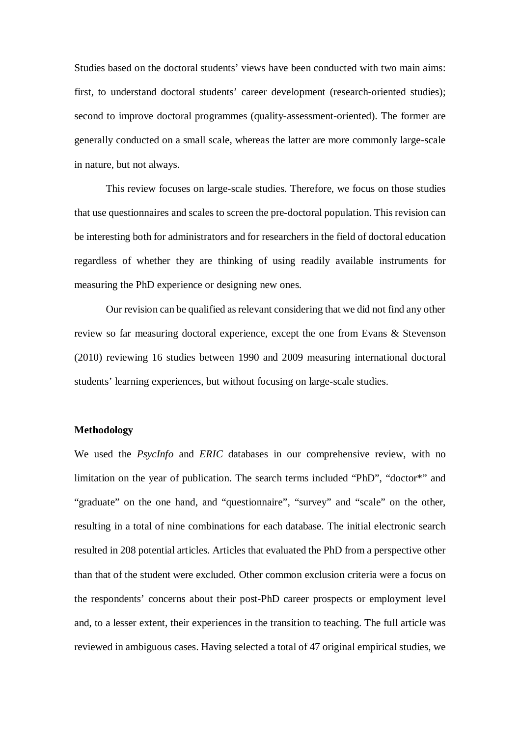Studies based on the doctoral students' views have been conducted with two main aims: first, to understand doctoral students' career development (research-oriented studies); second to improve doctoral programmes (quality-assessment-oriented). The former are generally conducted on a small scale, whereas the latter are more commonly large-scale in nature, but not always.

This review focuses on large-scale studies. Therefore, we focus on those studies that use questionnaires and scales to screen the pre-doctoral population. This revision can be interesting both for administrators and for researchers in the field of doctoral education regardless of whether they are thinking of using readily available instruments for measuring the PhD experience or designing new ones.

Our revision can be qualified as relevant considering that we did not find any other review so far measuring doctoral experience, except the one from Evans & Stevenson (2010) reviewing 16 studies between 1990 and 2009 measuring international doctoral students' learning experiences, but without focusing on large-scale studies.

# **Methodology**

We used the *PsycInfo* and *ERIC* databases in our comprehensive review, with no limitation on the year of publication. The search terms included "PhD", "doctor\*" and "graduate" on the one hand, and "questionnaire", "survey" and "scale" on the other, resulting in a total of nine combinations for each database. The initial electronic search resulted in 208 potential articles. Articles that evaluated the PhD from a perspective other than that of the student were excluded. Other common exclusion criteria were a focus on the respondents' concerns about their post-PhD career prospects or employment level and, to a lesser extent, their experiences in the transition to teaching. The full article was reviewed in ambiguous cases. Having selected a total of 47 original empirical studies, we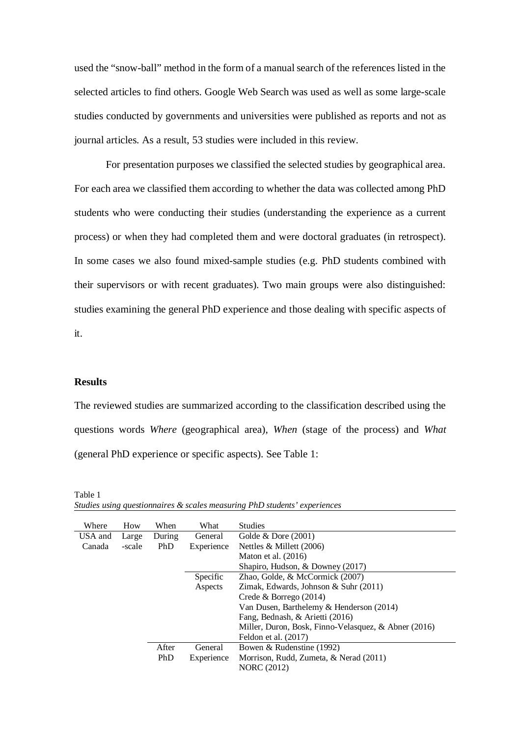used the "snow-ball" method in the form of a manual search of the references listed in the selected articles to find others. Google Web Search was used as well as some large-scale studies conducted by governments and universities were published as reports and not as journal articles. As a result, 53 studies were included in this review.

For presentation purposes we classified the selected studies by geographical area. For each area we classified them according to whether the data was collected among PhD students who were conducting their studies (understanding the experience as a current process) or when they had completed them and were doctoral graduates (in retrospect). In some cases we also found mixed-sample studies (e.g. PhD students combined with their supervisors or with recent graduates). Two main groups were also distinguished: studies examining the general PhD experience and those dealing with specific aspects of it.

# **Results**

The reviewed studies are summarized according to the classification described using the questions words *Where* (geographical area), *When* (stage of the process) and *What* (general PhD experience or specific aspects). See Table 1:

| Where   | How    | When   | What       | <b>Studies</b>                                       |
|---------|--------|--------|------------|------------------------------------------------------|
| USA and | Large  | During | General    | Golde $&$ Dore (2001)                                |
| Canada  | -scale | PhD    | Experience | Nettles $&$ Millett (2006)                           |
|         |        |        |            | Maton et al. $(2016)$                                |
|         |        |        |            | Shapiro, Hudson, & Downey (2017)                     |
|         |        |        | Specific   | Zhao, Golde, & McCormick (2007)                      |
|         |        |        | Aspects    | Zimak, Edwards, Johnson & Suhr (2011)                |
|         |        |        |            | Crede & Borrego $(2014)$                             |
|         |        |        |            | Van Dusen, Barthelemy & Henderson (2014)             |
|         |        |        |            | Fang, Bednash, & Arietti (2016)                      |
|         |        |        |            | Miller, Duron, Bosk, Finno-Velasquez, & Abner (2016) |
|         |        |        |            | Feldon et al. $(2017)$                               |
|         |        | After  | General    | Bowen & Rudenstine (1992)                            |
|         |        | PhD    | Experience | Morrison, Rudd, Zumeta, & Nerad (2011)               |
|         |        |        |            | <b>NORC</b> (2012)                                   |

Table 1 *Studies using questionnaires & scales measuring PhD students' experiences*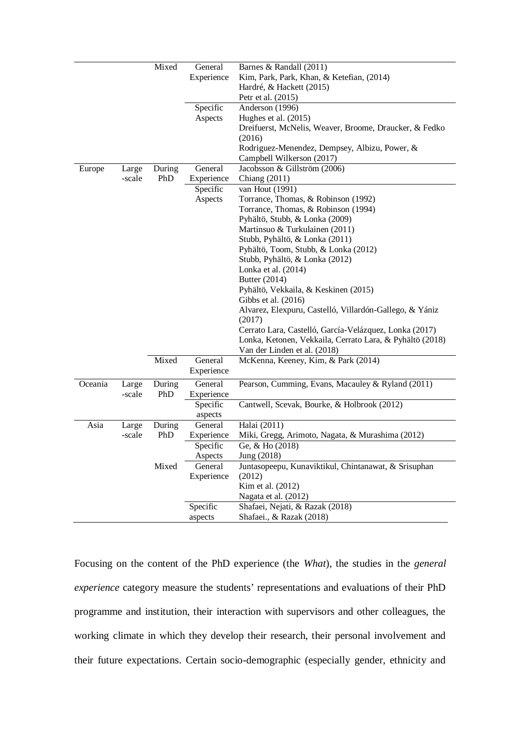| Experience<br>Kim, Park, Park, Khan, & Ketefian, (2014)<br>Hardré, & Hackett (2015)<br>Petr et al. (2015)<br>Specific<br>Anderson (1996)<br>Aspects<br>Hughes et al. (2015) |
|-----------------------------------------------------------------------------------------------------------------------------------------------------------------------------|
|                                                                                                                                                                             |
|                                                                                                                                                                             |
|                                                                                                                                                                             |
|                                                                                                                                                                             |
|                                                                                                                                                                             |
| Dreifuerst, McNelis, Weaver, Broome, Draucker, & Fedko                                                                                                                      |
| (2016)                                                                                                                                                                      |
| Rodriguez-Menendez, Dempsey, Albizu, Power, &                                                                                                                               |
| Campbell Wilkerson (2017)                                                                                                                                                   |
| General<br>Jacobsson & Gillström (2006)<br>Europe<br>During<br>Large                                                                                                        |
| PhD<br>Experience<br>Chiang (2011)<br>-scale                                                                                                                                |
| Specific<br>van Hout (1991)                                                                                                                                                 |
| Torrance, Thomas, & Robinson (1992)<br>Aspects                                                                                                                              |
| Torrance, Thomas, & Robinson (1994)                                                                                                                                         |
| Pyhältö, Stubb, & Lonka (2009)                                                                                                                                              |
| Martinsuo & Turkulainen (2011)                                                                                                                                              |
| Stubb, Pyhältö, & Lonka (2011)                                                                                                                                              |
| Pyhältö, Toom, Stubb, & Lonka (2012)                                                                                                                                        |
| Stubb, Pyhältö, & Lonka (2012)                                                                                                                                              |
| Lonka et al. (2014)                                                                                                                                                         |
| Butter (2014)                                                                                                                                                               |
| Pyhältö, Vekkaila, & Keskinen (2015)                                                                                                                                        |
| Gibbs et al. (2016)                                                                                                                                                         |
| Alvarez, Elexpuru, Castelló, Villardón-Gallego, & Yániz                                                                                                                     |
| (2017)                                                                                                                                                                      |
| Cerrato Lara, Castelló, García-Velázquez, Lonka (2017)                                                                                                                      |
| Lonka, Ketonen, Vekkaila, Cerrato Lara, & Pyhältö (2018)                                                                                                                    |
| Van der Linden et al. (2018)                                                                                                                                                |
| Mixed<br>General<br>McKenna, Keeney, Kim, & Park (2014)                                                                                                                     |
| Experience                                                                                                                                                                  |
| Oceania<br>During<br>General<br>Pearson, Cumming, Evans, Macauley & Ryland (2011)<br>Large                                                                                  |
| -scale<br>PhD<br>Experience                                                                                                                                                 |
| Cantwell, Scevak, Bourke, & Holbrook (2012)<br>Specific                                                                                                                     |
| aspects                                                                                                                                                                     |
| Halai (2011)<br>Asia<br>Large<br>During<br>General                                                                                                                          |
| PhD<br>Miki, Gregg, Arimoto, Nagata, & Murashima (2012)<br>-scale<br>Experience                                                                                             |
| Ge, & Ho (2018)<br>Specific                                                                                                                                                 |
| Jung (2018)<br>Aspects                                                                                                                                                      |
| Mixed<br>Juntasopeepu, Kunaviktikul, Chintanawat, & Srisuphan<br>General                                                                                                    |
| Experience<br>(2012)                                                                                                                                                        |
| Kim et al. (2012)                                                                                                                                                           |
| Nagata et al. (2012)                                                                                                                                                        |
| Specific<br>Shafaei, Nejati, & Razak (2018)                                                                                                                                 |
| Shafaei., & Razak (2018)<br>aspects                                                                                                                                         |

Focusing on the content of the PhD experience (the *What*), the studies in the *general experience* category measure the students' representations and evaluations of their PhD programme and institution, their interaction with supervisors and other colleagues, the working climate in which they develop their research, their personal involvement and their future expectations. Certain socio-demographic (especially gender, ethnicity and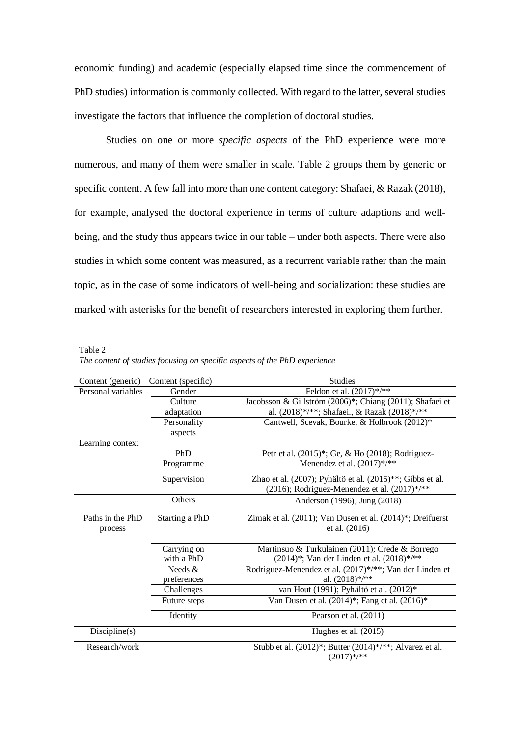economic funding) and academic (especially elapsed time since the commencement of PhD studies) information is commonly collected. With regard to the latter, several studies investigate the factors that influence the completion of doctoral studies.

Studies on one or more *specific aspects* of the PhD experience were more numerous, and many of them were smaller in scale. Table 2 groups them by generic or specific content. A few fall into more than one content category: Shafaei, & Razak (2018), for example, analysed the doctoral experience in terms of culture adaptions and wellbeing, and the study thus appears twice in our table – under both aspects. There were also studies in which some content was measured, as a recurrent variable rather than the main topic, as in the case of some indicators of well-being and socialization: these studies are marked with asterisks for the benefit of researchers interested in exploring them further.

Table 2

|  | The content of studies focusing on specific aspects of the PhD experience |
|--|---------------------------------------------------------------------------|
|  |                                                                           |

| Content (generic)  | Content (specific) | <b>Studies</b>                                                              |
|--------------------|--------------------|-----------------------------------------------------------------------------|
| Personal variables | Gender             | Feldon et al. $(2017)$ */**                                                 |
|                    | Culture            | Jacobsson & Gillström (2006)*; Chiang (2011); Shafaei et                    |
|                    | adaptation         | al. (2018)*/**; Shafaei., & Razak (2018)*/**                                |
|                    | Personality        | Cantwell, Scevak, Bourke, & Holbrook (2012)*                                |
|                    | aspects            |                                                                             |
| Learning context   |                    |                                                                             |
|                    | PhD                | Petr et al. (2015)*; Ge, & Ho (2018); Rodriguez-                            |
|                    | Programme          | Menendez et al. (2017)*/**                                                  |
|                    | Supervision        | Zhao et al. $(2007)$ ; Pyhältö et al. $(2015)$ <sup>**</sup> ; Gibbs et al. |
|                    |                    | (2016); Rodriguez-Menendez et al. $(2017)$ */**                             |
|                    | Others             | Anderson (1996); Jung (2018)                                                |
| Paths in the PhD   | Starting a PhD     | Zimak et al. $(2011)$ ; Van Dusen et al. $(2014)$ <sup>*</sup> ; Dreifuerst |
| process            |                    | et al. (2016)                                                               |
|                    |                    |                                                                             |
|                    | Carrying on        | Martinsuo & Turkulainen (2011); Crede & Borrego                             |
|                    | with a PhD         | (2014)*; Van der Linden et al. (2018)*/**                                   |
|                    | Needs $\&$         | Rodriguez-Menendez et al. (2017)*/**; Van der Linden et                     |
|                    | preferences        | al. $(2018)$ */**                                                           |
|                    | Challenges         | van Hout (1991); Pyhältö et al. (2012)*                                     |
|                    | Future steps       | Van Dusen et al. $(2014)^{*}$ ; Fang et al. $(2016)^{*}$                    |
|                    | Identity           | Pearson et al. (2011)                                                       |
| Discpline(s)       |                    | Hughes et al. $(2015)$                                                      |
| Research/work      |                    | Stubb et al. (2012)*; Butter (2014)*/**; Alvarez et al.                     |
|                    |                    | $(2017)$ */**                                                               |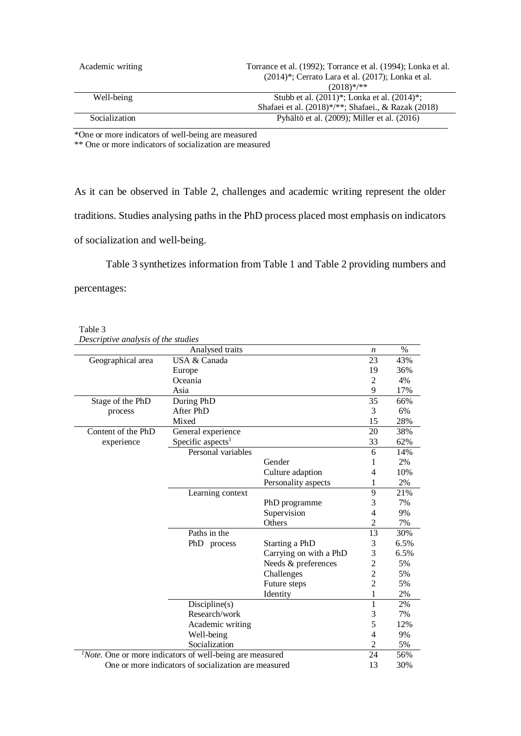| Academic writing | Torrance et al. (1992); Torrance et al. (1994); Lonka et al.<br>$(2014)^{*}$ ; Cerrato Lara et al. $(2017)$ ; Lonka et al. |
|------------------|----------------------------------------------------------------------------------------------------------------------------|
|                  | $(2018)$ */**                                                                                                              |
| Well-being       | Stubb et al. $(2011)^{*}$ ; Lonka et al. $(2014)^{*}$ ;                                                                    |
|                  | Shafaei et al. (2018)*/**; Shafaei., & Razak (2018)                                                                        |
| Socialization    | Pyhältö et al. (2009); Miller et al. (2016)                                                                                |

\*One or more indicators of well-being are measured

\*\* One or more indicators of socialization are measured

As it can be observed in Table 2, challenges and academic writing represent the older traditions. Studies analysing paths in the PhD process placed most emphasis on indicators of socialization and well-being.

Table 3 synthetizes information from Table 1 and Table 2 providing numbers and percentages:

| Table 3      |  |
|--------------|--|
| Decembrius e |  |

| Descriptive analysis of the studies                         |                               |                        |                  |               |
|-------------------------------------------------------------|-------------------------------|------------------------|------------------|---------------|
| Analysed traits                                             |                               |                        | $\boldsymbol{n}$ | $\frac{0}{0}$ |
| Geographical area                                           | USA & Canada                  |                        | 23               | 43%           |
|                                                             | Europe                        |                        | 19               | 36%           |
|                                                             | Oceania                       |                        | $\overline{2}$   | 4%            |
|                                                             | Asia                          |                        | 9                | 17%           |
| Stage of the PhD                                            | During PhD                    |                        | 35               | 66%           |
| process                                                     | After PhD                     |                        | 3                | 6%            |
|                                                             | Mixed                         |                        | 15               | 28%           |
| Content of the PhD                                          | General experience            |                        | 20               | 38%           |
| experience                                                  | Specific aspects <sup>1</sup> |                        | 33               | 62%           |
|                                                             | Personal variables            |                        | 6                | 14%           |
|                                                             |                               | Gender                 | 1                | 2%            |
|                                                             |                               | Culture adaption       | 4                | 10%           |
|                                                             |                               | Personality aspects    | 1                | 2%            |
|                                                             | Learning context              |                        | 9                | 21%           |
|                                                             |                               | PhD programme          | 3                | 7%            |
|                                                             |                               | Supervision            | 4                | 9%            |
|                                                             |                               | Others                 | $\overline{c}$   | 7%            |
|                                                             | Paths in the                  |                        | 13               | 30%           |
|                                                             | PhD process                   | Starting a PhD         | 3                | 6.5%          |
|                                                             |                               | Carrying on with a PhD | 3                | 6.5%          |
|                                                             |                               | Needs & preferences    | $\overline{c}$   | 5%            |
|                                                             |                               | Challenges             | $\overline{2}$   | 5%            |
|                                                             |                               | Future steps           | $\overline{c}$   | 5%            |
|                                                             |                               | Identity               | 1                | 2%            |
|                                                             | Discipher(s)                  |                        | 1                | 2%            |
|                                                             | Research/work                 |                        | 3                | 7%            |
|                                                             | Academic writing              |                        | 5                | 12%           |
|                                                             | Well-being                    |                        | 4                | 9%            |
|                                                             | Socialization                 |                        | $\overline{2}$   | 5%            |
| $1 Note.$ One or more indicators of well-being are measured |                               |                        | 24<br>13         | 56%           |
| One or more indicators of socialization are measured        |                               |                        |                  | 30%           |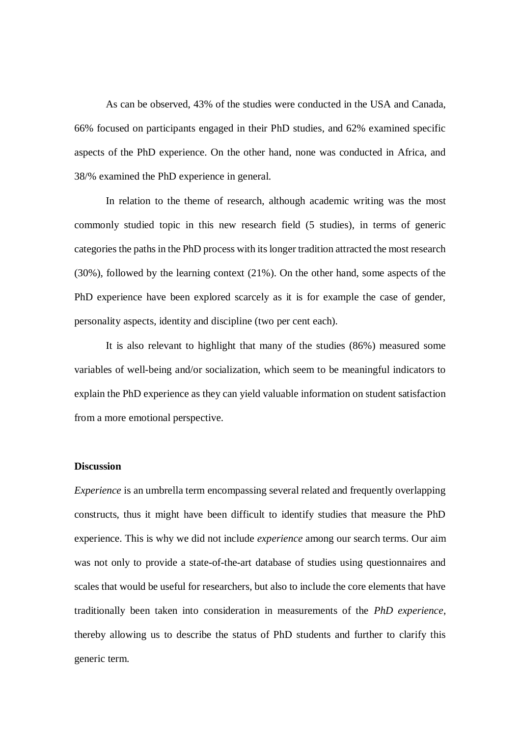As can be observed, 43% of the studies were conducted in the USA and Canada, 66% focused on participants engaged in their PhD studies, and 62% examined specific aspects of the PhD experience. On the other hand, none was conducted in Africa, and 38/% examined the PhD experience in general.

In relation to the theme of research, although academic writing was the most commonly studied topic in this new research field (5 studies), in terms of generic categories the paths in the PhD process with its longer tradition attracted the most research (30%), followed by the learning context (21%). On the other hand, some aspects of the PhD experience have been explored scarcely as it is for example the case of gender, personality aspects, identity and discipline (two per cent each).

It is also relevant to highlight that many of the studies (86%) measured some variables of well-being and/or socialization, which seem to be meaningful indicators to explain the PhD experience as they can yield valuable information on student satisfaction from a more emotional perspective.

#### **Discussion**

*Experience* is an umbrella term encompassing several related and frequently overlapping constructs, thus it might have been difficult to identify studies that measure the PhD experience. This is why we did not include *experience* among our search terms. Our aim was not only to provide a state-of-the-art database of studies using questionnaires and scales that would be useful for researchers, but also to include the core elements that have traditionally been taken into consideration in measurements of the *PhD experience*, thereby allowing us to describe the status of PhD students and further to clarify this generic term.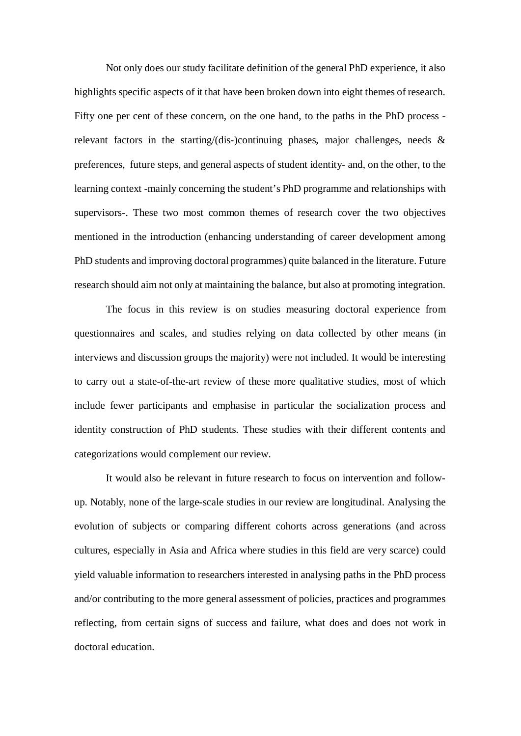Not only does our study facilitate definition of the general PhD experience, it also highlights specific aspects of it that have been broken down into eight themes of research. Fifty one per cent of these concern, on the one hand, to the paths in the PhD process relevant factors in the starting/(dis-)continuing phases, major challenges, needs  $\&$ preferences, future steps, and general aspects of student identity- and, on the other, to the learning context -mainly concerning the student's PhD programme and relationships with supervisors-. These two most common themes of research cover the two objectives mentioned in the introduction (enhancing understanding of career development among PhD students and improving doctoral programmes) quite balanced in the literature. Future research should aim not only at maintaining the balance, but also at promoting integration.

The focus in this review is on studies measuring doctoral experience from questionnaires and scales, and studies relying on data collected by other means (in interviews and discussion groups the majority) were not included. It would be interesting to carry out a state-of-the-art review of these more qualitative studies, most of which include fewer participants and emphasise in particular the socialization process and identity construction of PhD students. These studies with their different contents and categorizations would complement our review.

It would also be relevant in future research to focus on intervention and followup. Notably, none of the large-scale studies in our review are longitudinal. Analysing the evolution of subjects or comparing different cohorts across generations (and across cultures, especially in Asia and Africa where studies in this field are very scarce) could yield valuable information to researchers interested in analysing paths in the PhD process and/or contributing to the more general assessment of policies, practices and programmes reflecting, from certain signs of success and failure, what does and does not work in doctoral education.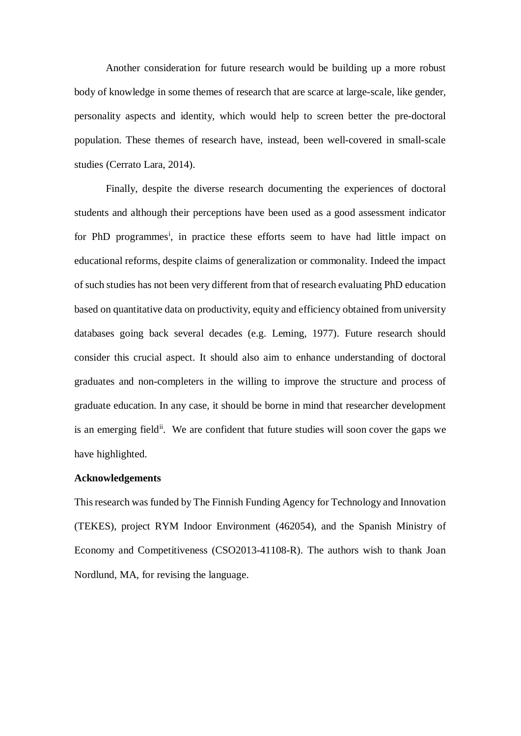Another consideration for future research would be building up a more robust body of knowledge in some themes of research that are scarce at large-scale, like gender, personality aspects and identity, which would help to screen better the pre-doctoral population. These themes of research have, instead, been well-covered in small-scale studies (Cerrato Lara, 2014).

Finally, despite the diverse research documenting the experiences of doctoral students and although their perceptions have been used as a good assessment indicator for PhD programmes<sup>i</sup>, in practice these efforts seem to have had little impact on educational reforms, despite claims of generalization or commonality. Indeed the impact of such studies has not been very different from that of research evaluating PhD education based on quantitative data on productivity, equity and efficiency obtained from university databases going back several decades (e.g. Leming, 1977). Future research should consider this crucial aspect. It should also aim to enhance understanding of doctoral graduates and non-completers in the willing to improve the structure and process of graduate education. In any case, it should be borne in mind that researcher development is an emerging field<sup>ii</sup>. We are confident that future studies will soon cover the gaps we have highlighted.

#### **Acknowledgements**

This research was funded by The Finnish Funding Agency for Technology and Innovation (TEKES), project RYM Indoor Environment (462054), and the Spanish Ministry of Economy and Competitiveness (CSO2013-41108-R). The authors wish to thank Joan Nordlund, MA, for revising the language.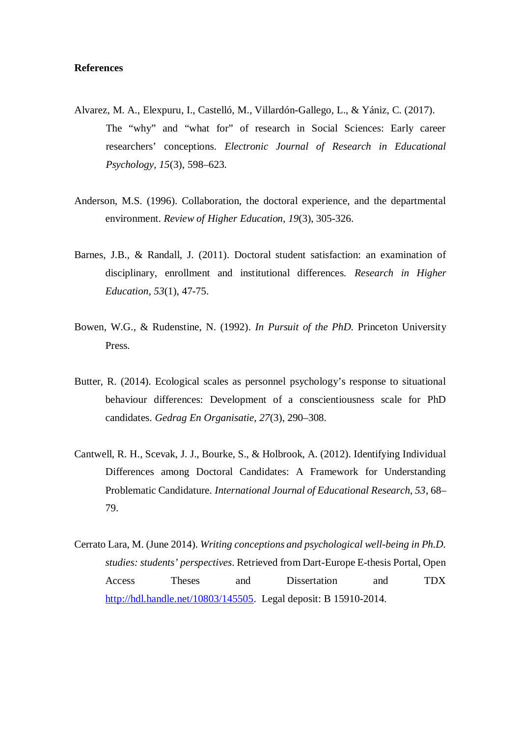# **References**

- Alvarez, M. A., Elexpuru, I., Castelló, M., Villardón-Gallego, L., & Yániz, C. (2017). The "why" and "what for" of research in Social Sciences: Early career researchers' conceptions. *Electronic Journal of Research in Educational Psychology, 15*(3), 598–623.
- Anderson, M.S. (1996). Collaboration, the doctoral experience, and the departmental environment. *Review of Higher Education, 19*(3), 305-326.
- Barnes, J.B., & Randall, J. (2011). Doctoral student satisfaction: an examination of disciplinary, enrollment and institutional differences. *Research in Higher Education, 53*(1), 47-75.
- Bowen, W.G., & Rudenstine, N. (1992). *In Pursuit of the PhD.* Princeton University Press.
- Butter, R. (2014). Ecological scales as personnel psychology's response to situational behaviour differences: Development of a conscientiousness scale for PhD candidates. *Gedrag En Organisatie, 27*(3), 290–308.
- Cantwell, R. H., Scevak, J. J., Bourke, S., & Holbrook, A. (2012). Identifying Individual Differences among Doctoral Candidates: A Framework for Understanding Problematic Candidature. *International Journal of Educational Research, 53*, 68– 79.
- Cerrato Lara, M. (June 2014). *Writing conceptions and psychological well-being in Ph.D. studies: students' perspectives*. Retrieved from Dart-Europe E-thesis Portal, Open Access Theses and Dissertation and TDX http://hdl.handle.net/10803/145505. Legal deposit: B 15910-2014.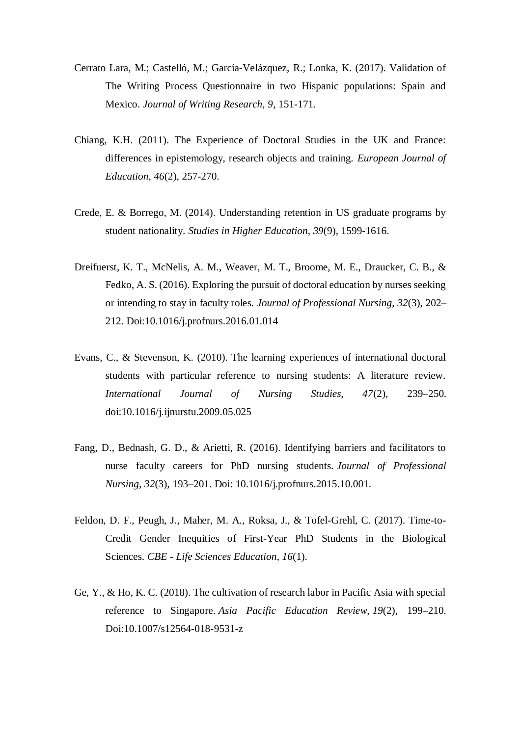- Cerrato Lara, M.; Castelló, M.; García-Velázquez, R.; Lonka, K. (2017). Validation of The Writing Process Questionnaire in two Hispanic populations: Spain and Mexico. *Journal of Writing Research, 9*, 151-171.
- Chiang, K.H. (2011). The Experience of Doctoral Studies in the UK and France: differences in epistemology, research objects and training. *European Journal of Education, 46*(2), 257-270.
- Crede, E. & Borrego, M. (2014). Understanding retention in US graduate programs by student nationality. *Studies in Higher Education, 39*(9), 1599-1616.
- Dreifuerst, K. T., McNelis, A. M., Weaver, M. T., Broome, M. E., Draucker, C. B., & Fedko, A. S. (2016). Exploring the pursuit of doctoral education by nurses seeking or intending to stay in faculty roles. *Journal of Professional Nursing*, *32*(3), 202– 212. Doi:10.1016/j.profnurs.2016.01.014
- Evans, C., & Stevenson, K. (2010). The learning experiences of international doctoral students with particular reference to nursing students: A literature review. *International Journal of Nursing Studies, 47*(2), 239–250. doi:10.1016/j.ijnurstu.2009.05.025
- Fang, D., Bednash, G. D., & Arietti, R. (2016). Identifying barriers and facilitators to nurse faculty careers for PhD nursing students. *Journal of Professional Nursing*, *32*(3), 193–201. Doi: 10.1016/j.profnurs.2015.10.001.
- Feldon, D. F., Peugh, J., Maher, M. A., Roksa, J., & Tofel-Grehl, C. (2017). Time-to-Credit Gender Inequities of First-Year PhD Students in the Biological Sciences. *CBE - Life Sciences Education*, *16*(1).
- Ge, Y., & Ho, K. C. (2018). The cultivation of research labor in Pacific Asia with special reference to Singapore. *Asia Pacific Education Review*, *19*(2), 199–210. Doi:10.1007/s12564-018-9531-z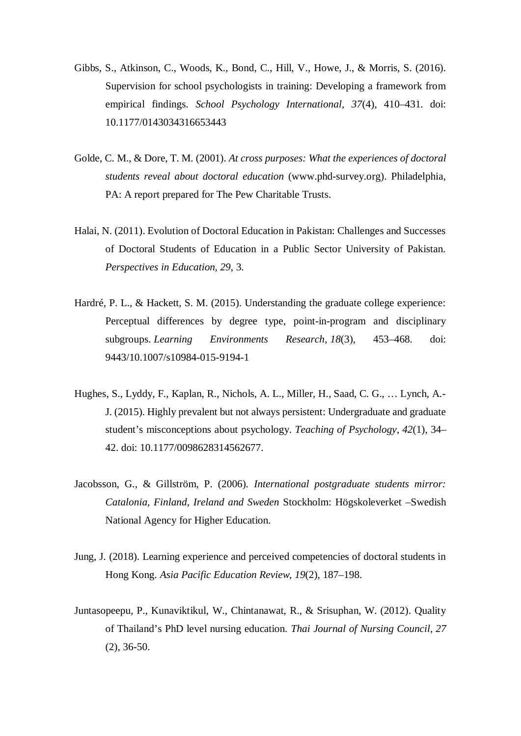- Gibbs, S., Atkinson, C., Woods, K., Bond, C., Hill, V., Howe, J., & Morris, S. (2016). Supervision for school psychologists in training: Developing a framework from empirical findings. *School Psychology International, 37*(4), 410–431. doi: 10.1177/0143034316653443
- Golde, C. M., & Dore, T. M. (2001). *At cross purposes: What the experiences of doctoral students reveal about doctoral education* (www.phd-survey.org). Philadelphia, PA: A report prepared for The Pew Charitable Trusts.
- Halai, N. (2011). Evolution of Doctoral Education in Pakistan: Challenges and Successes of Doctoral Students of Education in a Public Sector University of Pakistan. *Perspectives in Education, 29*, 3.
- Hardré, P. L., & Hackett, S. M. (2015). Understanding the graduate college experience: Perceptual differences by degree type, point-in-program and disciplinary subgroups. *Learning Environments Research*, *18*(3), 453–468. doi: 9443/10.1007/s10984-015-9194-1
- Hughes, S., Lyddy, F., Kaplan, R., Nichols, A. L., Miller, H., Saad, C. G., … Lynch, A.- J. (2015). Highly prevalent but not always persistent: Undergraduate and graduate student's misconceptions about psychology. *Teaching of Psychology*, *42*(1), 34– 42. doi: 10.1177/0098628314562677.
- Jacobsson, G., & Gillström, P. (2006). *International postgraduate students mirror: Catalonia, Finland, Ireland and Sweden* Stockholm: Högskoleverket –Swedish National Agency for Higher Education.
- Jung, J. (2018). Learning experience and perceived competencies of doctoral students in Hong Kong. *Asia Pacific Education Review*, *19*(2), 187–198.
- Juntasopeepu, P., Kunaviktikul, W., Chintanawat, R., & Srisuphan, W. (2012). Quality of Thailand's PhD level nursing education. *Thai Journal of Nursing Council, 27* (2), 36-50.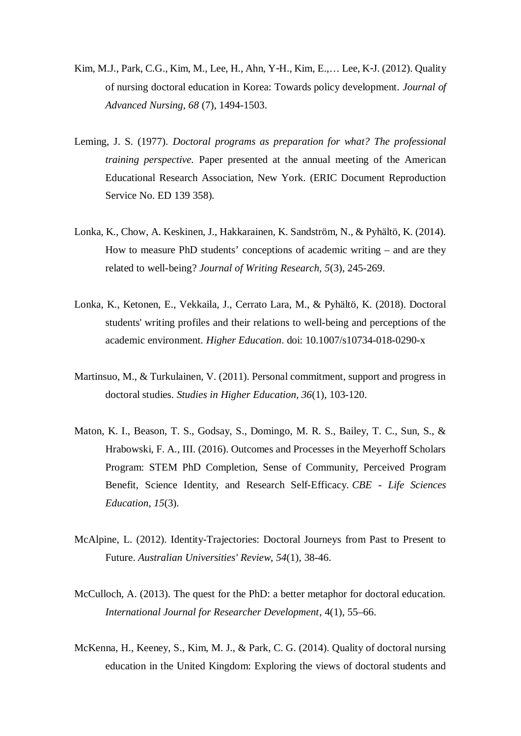- Kim, M.J., Park, C.G., Kim, M., Lee, H., Ahn, Y-H., Kim, E.,… Lee, K-J. (2012). Quality of nursing doctoral education in Korea: Towards policy development. *Journal of Advanced Nursing, 68* (7), 1494-1503.
- Leming, J. S. (1977). *Doctoral programs as preparation for what? The professional training perspective.* Paper presented at the annual meeting of the American Educational Research Association, New York. (ERIC Document Reproduction Service No. ED 139 358).
- Lonka, K., Chow, A. Keskinen, J., Hakkarainen, K. Sandström, N., & Pyhältö, K. (2014). How to measure PhD students' conceptions of academic writing – and are they related to well-being? *Journal of Writing Research, 5*(3), 245-269.
- Lonka, K., Ketonen, E., Vekkaila, J., Cerrato Lara, M., & Pyhältö, K. (2018). Doctoral students' writing profiles and their relations to well-being and perceptions of the academic environment. *Higher Education*. doi: 10.1007/s10734-018-0290-x
- Martinsuo, M., & Turkulainen, V. (2011). Personal commitment, support and progress in doctoral studies. *Studies in Higher Education, 36*(1), 103-120.
- Maton, K. I., Beason, T. S., Godsay, S., Domingo, M. R. S., Bailey, T. C., Sun, S., & Hrabowski, F. A., III. (2016). Outcomes and Processes in the Meyerhoff Scholars Program: STEM PhD Completion, Sense of Community, Perceived Program Benefit, Science Identity, and Research Self-Efficacy. *CBE - Life Sciences Education*, *15*(3).
- McAlpine, L. (2012). Identity-Trajectories: Doctoral Journeys from Past to Present to Future. *Australian Universities' Review*, *54*(1), 38-46.
- McCulloch, A. (2013). The quest for the PhD: a better metaphor for doctoral education. *International Journal for Researcher Development*, 4(1), 55–66.
- McKenna, H., Keeney, S., Kim, M. J., & Park, C. G. (2014). Quality of doctoral nursing education in the United Kingdom: Exploring the views of doctoral students and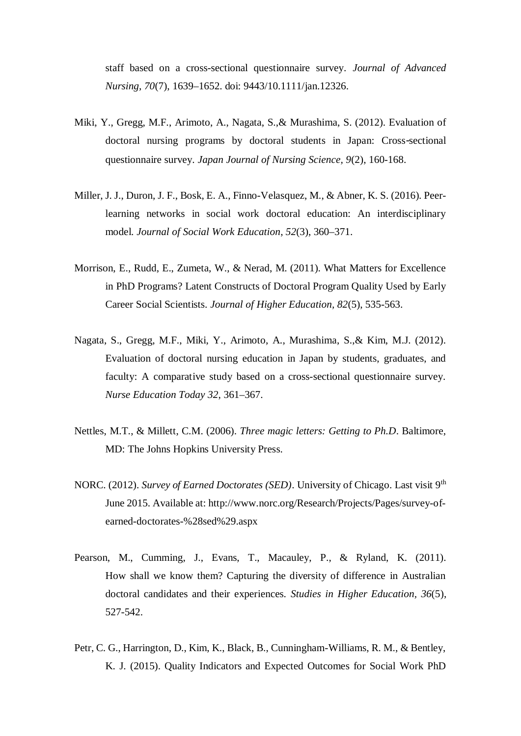staff based on a cross-sectional questionnaire survey. *Journal of Advanced Nursing, 70*(7), 1639–1652. doi: 9443/10.1111/jan.12326.

- Miki, Y., Gregg, M.F., Arimoto, A., Nagata, S.,& Murashima, S. (2012). Evaluation of doctoral nursing programs by doctoral students in Japan: Cross-sectional questionnaire survey. *Japan Journal of Nursing Science, 9*(2), 160-168.
- Miller, J. J., Duron, J. F., Bosk, E. A., Finno-Velasquez, M., & Abner, K. S. (2016). Peerlearning networks in social work doctoral education: An interdisciplinary model. *Journal of Social Work Education*, *52*(3), 360–371.
- Morrison, E., Rudd, E., Zumeta, W., & Nerad, M. (2011). What Matters for Excellence in PhD Programs? Latent Constructs of Doctoral Program Quality Used by Early Career Social Scientists. *Journal of Higher Education, 82*(5), 535-563.
- Nagata, S., Gregg, M.F., Miki, Y., Arimoto, A., Murashima, S.,& Kim, M.J. (2012). Evaluation of doctoral nursing education in Japan by students, graduates, and faculty: A comparative study based on a cross-sectional questionnaire survey. *Nurse Education Today 32*, 361–367.
- Nettles, M.T., & Millett, C.M. (2006). *Three magic letters: Getting to Ph.D*. Baltimore, MD: The Johns Hopkins University Press.
- NORC. (2012). *Survey of Earned Doctorates (SED)*. University of Chicago. Last visit 9<sup>th</sup> June 2015. Available at: http://www.norc.org/Research/Projects/Pages/survey-ofearned-doctorates-%28sed%29.aspx
- Pearson, M., Cumming, J., Evans, T., Macauley, P., & Ryland, K. (2011). How shall we know them? Capturing the diversity of difference in Australian doctoral candidates and their experiences. *Studies in Higher Education, 36*(5), 527-542.
- Petr, C. G., Harrington, D., Kim, K., Black, B., Cunningham-Williams, R. M., & Bentley, K. J. (2015). Quality Indicators and Expected Outcomes for Social Work PhD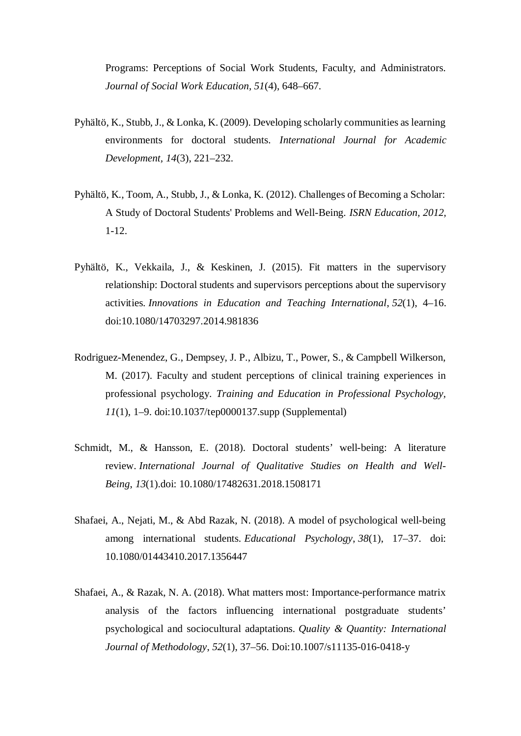Programs: Perceptions of Social Work Students, Faculty, and Administrators. *Journal of Social Work Education, 51*(4), 648–667.

- Pyhältö, K., Stubb, J., & Lonka, K. (2009). Developing scholarly communities as learning environments for doctoral students*. International Journal for Academic Development, 14*(3), 221–232.
- Pyhältö, K., Toom, A., Stubb, J., & Lonka, K. (2012). Challenges of Becoming a Scholar: A Study of Doctoral Students' Problems and Well-Being. *ISRN Education, 2012,* 1-12.
- Pyhältö, K., Vekkaila, J., & Keskinen, J. (2015). Fit matters in the supervisory relationship: Doctoral students and supervisors perceptions about the supervisory activities. *Innovations in Education and Teaching International*, *52*(1), 4–16. doi:10.1080/14703297.2014.981836
- Rodriguez-Menendez, G., Dempsey, J. P., Albizu, T., Power, S., & Campbell Wilkerson, M. (2017). Faculty and student perceptions of clinical training experiences in professional psychology. *Training and Education in Professional Psychology, 11*(1), 1–9. doi:10.1037/tep0000137.supp (Supplemental)
- Schmidt, M., & Hansson, E. (2018). Doctoral students' well-being: A literature review. *International Journal of Qualitative Studies on Health and Well-Being*, *13*(1).doi: 10.1080/17482631.2018.1508171
- Shafaei, A., Nejati, M., & Abd Razak, N. (2018). A model of psychological well-being among international students. *Educational Psychology*, *38*(1), 17–37. doi: 10.1080/01443410.2017.1356447
- Shafaei, A., & Razak, N. A. (2018). What matters most: Importance-performance matrix analysis of the factors influencing international postgraduate students' psychological and sociocultural adaptations. *Quality & Quantity: International Journal of Methodology*, *52*(1), 37–56. Doi:10.1007/s11135-016-0418-y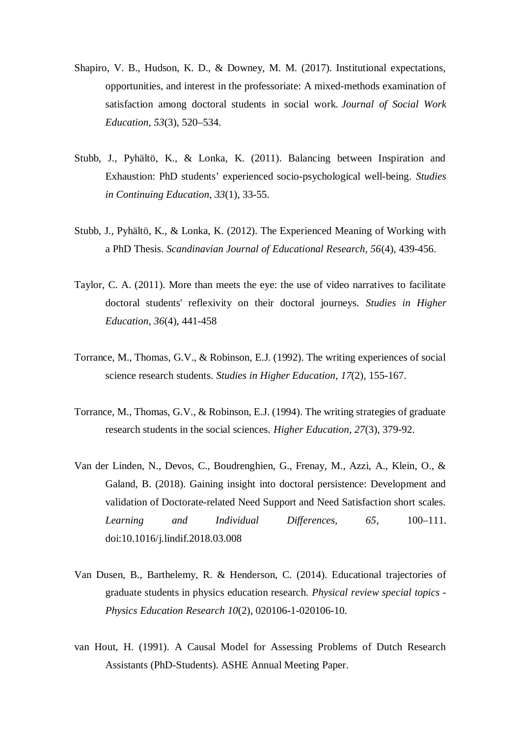- Shapiro, V. B., Hudson, K. D., & Downey, M. M. (2017). Institutional expectations, opportunities, and interest in the professoriate: A mixed-methods examination of satisfaction among doctoral students in social work. *Journal of Social Work Education*, *53*(3), 520–534.
- Stubb, J., Pyhältö, K., & Lonka, K. (2011). Balancing between Inspiration and Exhaustion: PhD students' experienced socio-psychological well-being. *Studies in Continuing Education, 33*(1), 33-55.
- Stubb, J., Pyhältö, K., & Lonka, K. (2012). The Experienced Meaning of Working with a PhD Thesis. *Scandinavian Journal of Educational Research, 56*(4), 439-456.
- Taylor, C. A. (2011). More than meets the eye: the use of video narratives to facilitate doctoral students' reflexivity on their doctoral journeys. *Studies in Higher Education, 36*(4), 441-458
- Torrance, M., Thomas, G.V., & Robinson, E.J. (1992). The writing experiences of social science research students. *Studies in Higher Education*, *17*(2), 155-167.
- Torrance, M., Thomas, G.V., & Robinson, E.J. (1994). The writing strategies of graduate research students in the social sciences. *Higher Education, 27*(3), 379-92.
- Van der Linden, N., Devos, C., Boudrenghien, G., Frenay, M., Azzi, A., Klein, O., & Galand, B. (2018). Gaining insight into doctoral persistence: Development and validation of Doctorate-related Need Support and Need Satisfaction short scales. *Learning and Individual Differences, 65*, 100–111. doi:10.1016/j.lindif.2018.03.008
- Van Dusen, B., Barthelemy, R. & Henderson, C. (2014). Educational trajectories of graduate students in physics education research. *Physical review special topics - Physics Education Research 10*(2), 020106-1-020106-10.
- van Hout, H. (1991). A Causal Model for Assessing Problems of Dutch Research Assistants (PhD-Students). ASHE Annual Meeting Paper.